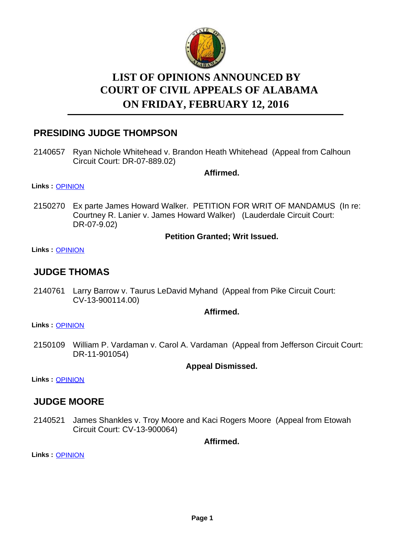

# **LIST OF OPINIONS ANNOUNCED BY ON FRIDAY, FEBRUARY 12, 2016 COURT OF CIVIL APPEALS OF ALABAMA**

# **PRESIDING JUDGE THOMPSON**

2140657 Ryan Nichole Whitehead v. Brandon Heath Whitehead (Appeal from Calhoun Circuit Court: DR-07-889.02)

**Affirmed.**

**Links :** [OPINION](https://acis.alabama.gov/displaydocs.cfm?no=716538&event=4KB0M2UY9)

2150270 Ex parte James Howard Walker. PETITION FOR WRIT OF MANDAMUS (In re: Courtney R. Lanier v. James Howard Walker) (Lauderdale Circuit Court: DR-07-9.02)

#### **Petition Granted; Writ Issued.**

**Links :** [OPINION](https://acis.alabama.gov/displaydocs.cfm?no=716545&event=4KB0M2W55)

### **JUDGE THOMAS**

2140761 Larry Barrow v. Taurus LeDavid Myhand (Appeal from Pike Circuit Court: CV-13-900114.00)

#### **Affirmed.**

**Links :** [OPINION](https://acis.alabama.gov/displaydocs.cfm?no=716540&event=4KB0M2V9Z)

2150109 William P. Vardaman v. Carol A. Vardaman (Appeal from Jefferson Circuit Court: DR-11-901054)

#### **Appeal Dismissed.**

**Links :** [OPINION](https://acis.alabama.gov/displaydocs.cfm?no=716544&event=4KB0M2VZ3)

### **JUDGE MOORE**

2140521 James Shankles v. Troy Moore and Kaci Rogers Moore (Appeal from Etowah Circuit Court: CV-13-900064)

**Affirmed.**

**Links :** [OPINION](https://acis.alabama.gov/displaydocs.cfm?no=716536&event=4KB0M2UKE)